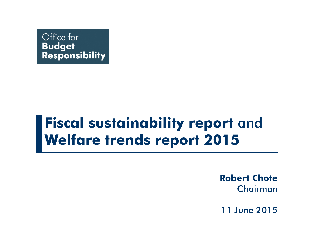

## **Fiscal sustainability report** and **Welfare trends report 2015**

**Robert Chote** Chairman

11 June 2015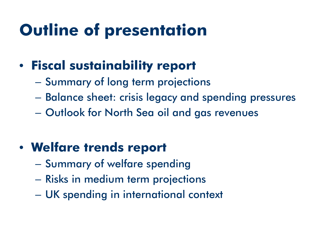# **Outline of presentation**

#### • **Fiscal sustainability report**

- Summary of long term projections
- Balance sheet: crisis legacy and spending pressures
- Outlook for North Sea oil and gas revenues

### • **Welfare trends report**

- Summary of welfare spending
- Risks in medium term projections
- UK spending in international context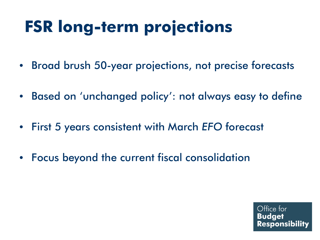# **FSR long-term projections**

- Broad brush 50-year projections, not precise forecasts
- Based on 'unchanged policy': not always easy to define
- First 5 years consistent with March *EFO* forecast
- Focus beyond the current fiscal consolidation

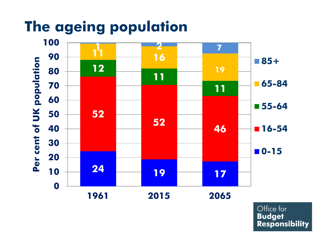## **The ageing population**

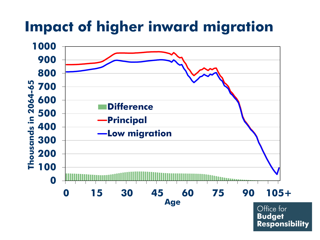## **Impact of higher inward migration**



**Budget Responsibility**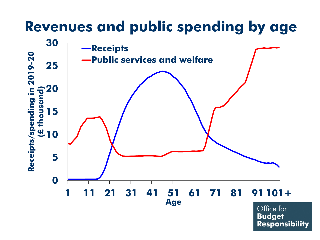#### **Revenues and public spending by age**

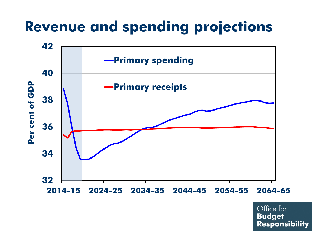## **Revenue and spending projections**

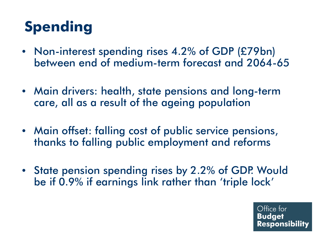# **Spending**

- Non-interest spending rises 4.2% of GDP (£79bn) between end of medium-term forecast and 2064-65
- Main drivers: health, state pensions and long-term care, all as a result of the ageing population
- Main offset: falling cost of public service pensions, thanks to falling public employment and reforms
- State pension spending rises by 2.2% of GDP. Would be if 0.9% if earnings link rather than 'triple lock'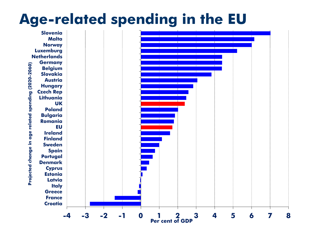### **Age-related spending in the EU**

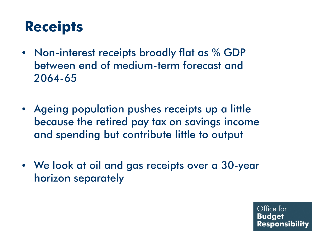## **Receipts**

- Non-interest receipts broadly flat as % GDP between end of medium-term forecast and 2064-65
- Ageing population pushes receipts up a little because the retired pay tax on savings income and spending but contribute little to output
- We look at oil and gas receipts over a 30-year horizon separately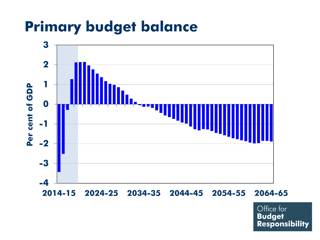## **Primary budget balance**

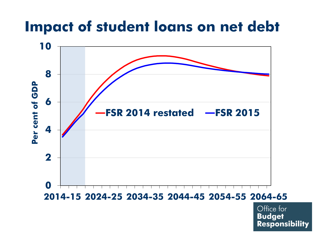### **Impact of student loans on net debt**

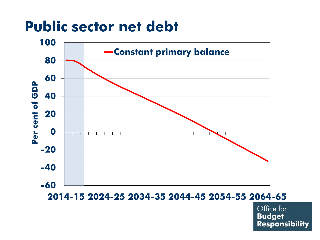### **Public sector net debt**



**2014-15 2024-25 2034-35 2044-45 2054-55 2064-65**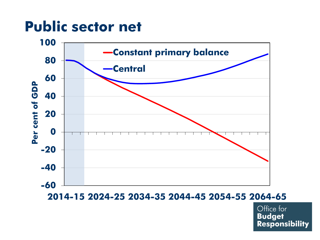### **Public sector net**



**2014-15 2024-25 2034-35 2044-45 2054-55 2064-65**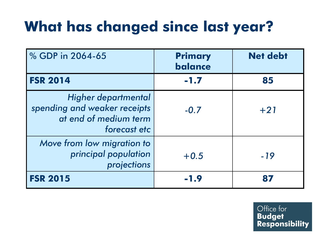# **What has changed since last year?**

| % GDP in 2064-65                                                                             | <b>Primary</b><br>balance | <b>Net debt</b> |
|----------------------------------------------------------------------------------------------|---------------------------|-----------------|
| <b>FSR 2014</b>                                                                              | $-1.7$                    | 85              |
| Higher departmental<br>spending and weaker receipts<br>at end of medium term<br>forecast etc | $-0.7$                    | $+21$           |
| Move from low migration to<br>principal population<br>projections                            | $+0.5$                    | $-19$           |
| <b>FSR 2015</b>                                                                              | $-1.9$                    | 87              |

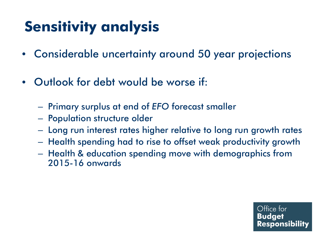# **Sensitivity analysis**

- Considerable uncertainty around 50 year projections
- Outlook for debt would be worse if:
	- Primary surplus at end of *EFO* forecast smaller
	- Population structure older
	- Long run interest rates higher relative to long run growth rates
	- Health spending had to rise to offset weak productivity growth
	- Health & education spending move with demographics from 2015-16 onwards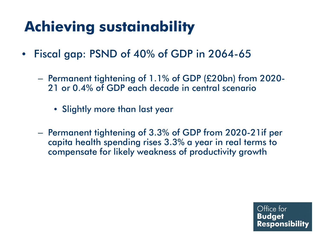# **Achieving sustainability**

- Fiscal gap: PSND of 40% of GDP in 2064-65
	- Permanent tightening of 1.1% of GDP (£20bn) from 2020- 21 or 0.4% of GDP each decade in central scenario
		- Slightly more than last year
	- Permanent tightening of 3.3% of GDP from 2020-21if per capita health spending rises 3.3% a year in real terms to compensate for likely weakness of productivity growth

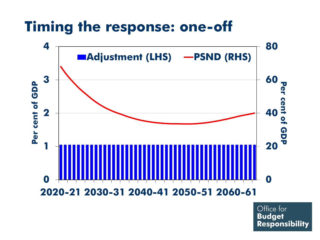## **Timing the response: one-off**

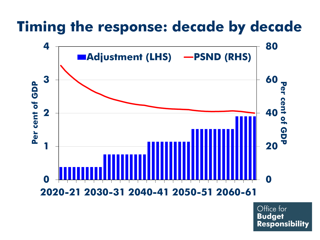## **Timing the response: decade by decade**

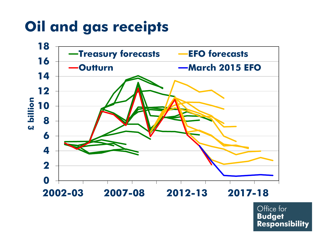# **Oil and gas receipts**

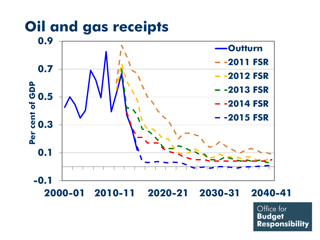## **Oil and gas receipts**

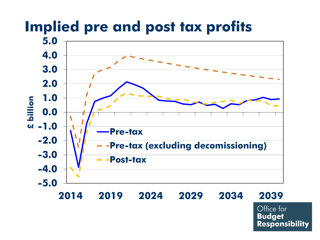#### **-5.0 -4.0 -3.0 -2.0 -1.0 0.0 1.0 2.0 3.0 4.0 5.0 2014 2019 2024 2029 2034 2039 £ billion Pre-tax Pre-tax (excluding decomissioning) Post-tax**

**Implied pre and post tax profits**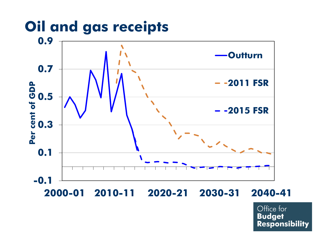## **Oil and gas receipts**

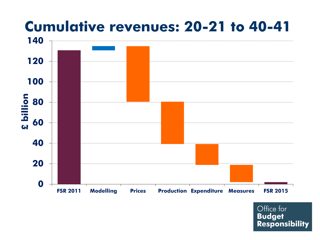

# **Cumulative revenues: 20-21 to 40-41**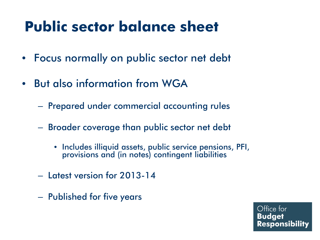## **Public sector balance sheet**

- Focus normally on public sector net debt
- But also information from WGA
	- Prepared under commercial accounting rules
	- Broader coverage than public sector net debt
		- Includes illiquid assets, public service pensions, PFI, provisions and (in notes) contingent liabilities
	- Latest version for 2013-14
	- Published for five years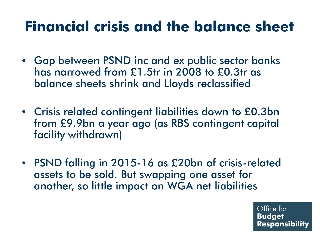## **Financial crisis and the balance sheet**

- Gap between PSND inc and ex public sector banks has narrowed from £1.5tr in 2008 to £0.3tr as balance sheets shrink and Lloyds reclassified
- Crisis related contingent liabilities down to £0.3bn from £9.9bn a year ago (as RBS contingent capital facility withdrawn)
- PSND falling in 2015-16 as £20bn of crisis-related assets to be sold. But swapping one asset for another, so little impact on WGA net liabilities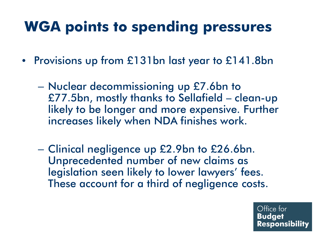## **WGA points to spending pressures**

- Provisions up from £131bn last year to £141.8bn
	- Nuclear decommissioning up £7.6bn to £77.5bn, mostly thanks to Sellafield – clean-up likely to be longer and more expensive. Further increases likely when NDA finishes work.
	- Clinical negligence up £2.9bn to £26.6bn. Unprecedented number of new claims as legislation seen likely to lower lawyers' fees. These account for a third of negligence costs.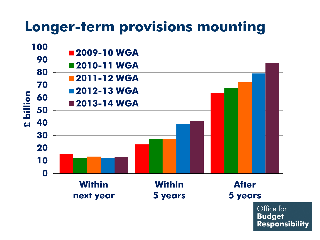## **Longer-term provisions mounting**



**Budget Responsibility**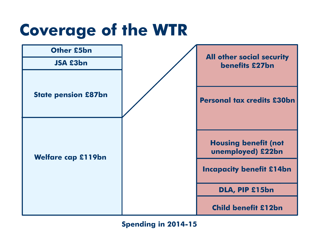# **Coverage of the WTR**



**Spending in 2014-15**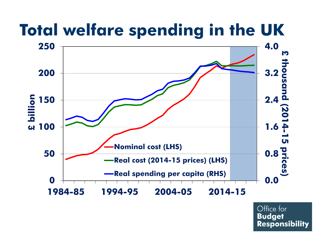# **Total welfare spending in the UK**

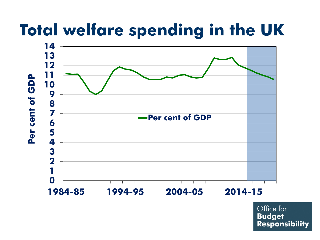# **Total welfare spending in the UK**

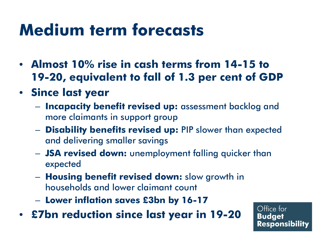# **Medium term forecasts**

- **Almost 10% rise in cash terms from 14-15 to 19-20, equivalent to fall of 1.3 per cent of GDP**
- **Since last year**
	- **Incapacity benefit revised up:** assessment backlog and more claimants in support group
	- **Disability benefits revised up:** PIP slower than expected and delivering smaller savings
	- **JSA revised down:** unemployment falling quicker than expected
	- **Housing benefit revised down:** slow growth in households and lower claimant count
	- **Lower inflation saves £3bn by 16-17**
- **£7bn reduction since last year in 19-20**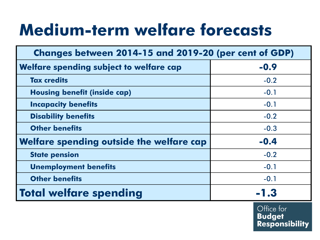# **Medium-term welfare forecasts**

| Changes between 2014-15 and 2019-20 (per cent of GDP) |        |  |  |  |  |
|-------------------------------------------------------|--------|--|--|--|--|
| Welfare spending subject to welfare cap               | $-0.9$ |  |  |  |  |
| <b>Tax credits</b>                                    | $-0.2$ |  |  |  |  |
| <b>Housing benefit (inside cap)</b>                   | $-0.1$ |  |  |  |  |
| <b>Incapacity benefits</b>                            | $-0.1$ |  |  |  |  |
| <b>Disability benefits</b>                            | $-0.2$ |  |  |  |  |
| <b>Other benefits</b>                                 | $-0.3$ |  |  |  |  |
| <b>Welfare spending outside the welfare cap</b>       | $-0.4$ |  |  |  |  |
| <b>State pension</b>                                  | $-0.2$ |  |  |  |  |
| <b>Unemployment benefits</b>                          | $-0.1$ |  |  |  |  |
| <b>Other benefits</b>                                 | $-0.1$ |  |  |  |  |
| <b>Total welfare spending</b>                         | $-1.3$ |  |  |  |  |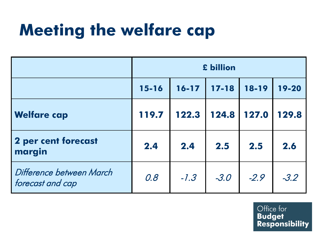# **Meeting the welfare cap**

|                                              | £ billion |           |           |           |        |  |
|----------------------------------------------|-----------|-----------|-----------|-----------|--------|--|
|                                              | $15 - 16$ | $16 - 17$ | $17 - 18$ | $18 - 19$ | 19-20  |  |
| <b>Welfare cap</b>                           | 119.7     | 122.3     | 124.8     | 127.0     | 129.8  |  |
| <b>2 per cent forecast</b><br>margin         | 2.4       | 2.4       | 2.5       | 2.5       | 2.6    |  |
| Difference between March<br>forecast and cap | 0.8       | $-1.3$    | $-3.0$    | $-2.9$    | $-3.2$ |  |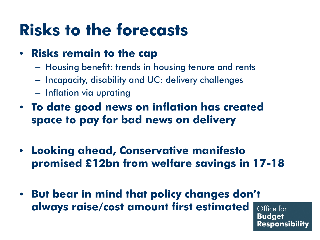# **Risks to the forecasts**

#### • **Risks remain to the cap**

- Housing benefit: trends in housing tenure and rents
- Incapacity, disability and UC: delivery challenges
- Inflation via uprating
- **To date good news on inflation has created space to pay for bad news on delivery**
- **Looking ahead, Conservative manifesto promised £12bn from welfare savings in 17-18**
- **But bear in mind that policy changes don't always raise/cost amount first estimated**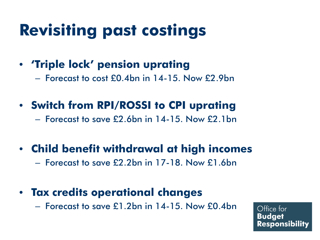# **Revisiting past costings**

#### • **'Triple lock' pension uprating**

- Forecast to cost £0.4bn in 14-15. Now £2.9bn
- **Switch from RPI/ROSSI to CPI uprating**

– Forecast to save £2.6bn in 14-15. Now £2.1bn

#### • **Child benefit withdrawal at high incomes**

– Forecast to save £2.2bn in 17-18. Now £1.6bn

#### • **Tax credits operational changes**

– Forecast to save £1.2bn in 14-15. Now £0.4bn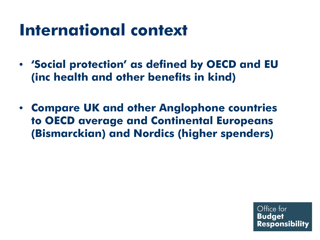# **International context**

- **'Social protection' as defined by OECD and EU (inc health and other benefits in kind)**
- **Compare UK and other Anglophone countries to OECD average and Continental Europeans (Bismarckian) and Nordics (higher spenders)**

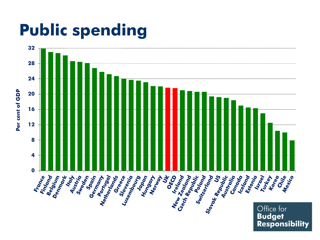# **Public spending**

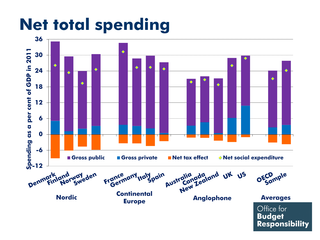# **Net total spending**